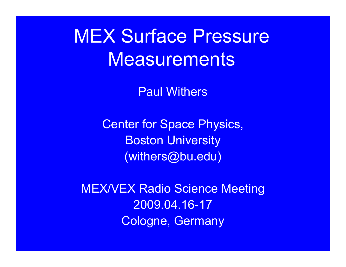**MEX Surface Pressure** Measurements

Paul Withers

Center for Space Physics, Boston University (withers@bu.edu)

MEX/VEX Radio Science Meeting 2009.04.16-17Cologne, Germany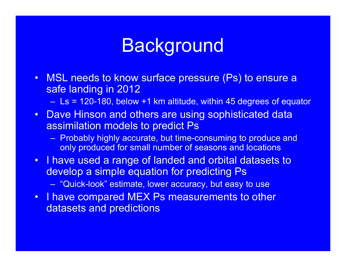## **Background**

• MSL needs to know surface pressure (Ps) to ensure a safe landing in 2012

Ls = 120-180, below +1 km altitude, within 45 degrees of equator

- Dave Hinson and others are using sophisticated data assimilation models to predict Ps
	- Probably highly accurate, but time-consuming to produce and only produced for small number of seasons and locations
- I have used a range of landed and orbital datasets to develop a simple equation for predicting Ps "Quick-look" estimate, lower accuracy, but easy to use
- I have compared MEX Ps measurements to other datasets and predictions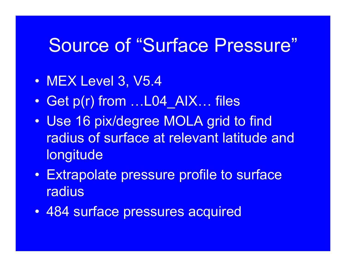## Source of "Surface Pressure"

- MEX Level 3, V5.4
- $\bullet$ Get p(r) from …L04\_AIX… files
- $\bullet$  Use 16 pix/degree MOLA grid to find radius of surface at relevant latitude and longitude
- $\bullet$  Extrapolate pressure profile to surface radius
- $\bullet$ 484 surface pressures acquired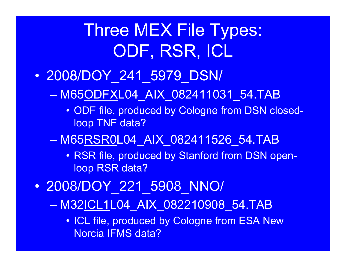## Three MEX File Types: ODF, RSR, ICL

#### $\bullet$ 2008/DOY\_241\_5979\_DSN/

M65ODFXL04\_AIX\_082411031\_54.TAB

- ODF file, produced by Cologne from DSN closedloop TNF data?
- M65RSR0L04\_AIX\_082411526\_54.TAB
	- RSR file, produced by Stanford from DSN openloop RSR data?
- $\bullet$  2008/DOY\_221\_5908\_NNO/
	- M32ICL1L04\_AIX\_082210908\_54.TAB
		- ICL file, produced by Cologne from ESA New Norcia IFMS data?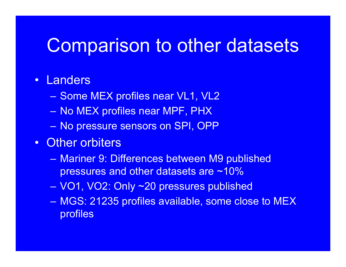## Comparison to other datasets

- Landers
	- Some MEX profiles near VL1, VL2
	- No MEX profiles near MPF, PHX
	- No pressure sensors on SPI, OPP
- Other orbiters
	- Mariner 9: Differences between M9 published pressures and other datasets are ~10%
	- VO1, VO2: Only ~20 pressures published
	- MGS: 21235 profiles available, some close to MEX profiles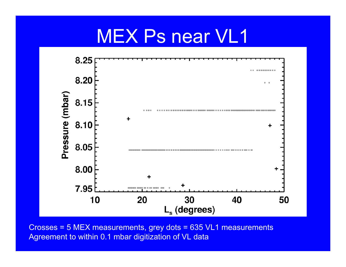### MEX Ps near VL1



Crosses = 5 MEX measurements, grey dots = 635 VL1 measurements Agreement to within 0.1 mbar digitization of VL data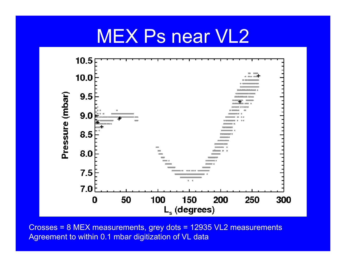### MEX Ps near VL2



Crosses = 8 MEX measurements, grey dots = 12935 VL2 measurements Agreement to within 0.1 mbar digitization of VL data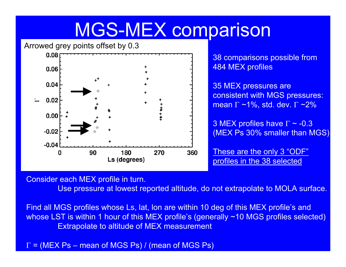# MGS-MEX comparison

Arrowed grey points offset by 0.3



38 comparisons possible from 484 MEX profiles

35 MEX pressures are consistent with MGS pressures: mean Γ ~1%, std. dev. Γ ~2%

3 MEX profiles have Γ ~ -0.3  $\,$ (MEX Ps 30% smaller than MGS)

These are the only 3 "ODF" profiles in the 38 selected

Consider each MEX profile in turn.

Use pressure at lowest reported altitude, do not extrapolate to MOLA surface.

Find all MGS profiles whose Ls, lat, lon are within 10 deg of this MEX profile's and whose LST is within 1 hour of this MEX profile's (generally ~10 MGS profiles selected) Extrapolate to altitude of MEX measurement

 $\Gamma$  = (MEX Ps – mean of MGS Ps) / (mean of MGS Ps)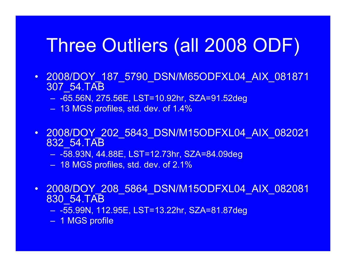# Three Outliers (all 2008 ODF)

- 2008/DOY\_187\_5790\_DSN/M65ODFXL04\_AIX\_081871 307\_54.TAB
	- -65.56N, 275.56E, LST=10.92hr, SZA=91.52deg
	- 13 MGS profiles, std. dev. of 1.4%
- 2008/DOY\_202\_5843\_DSN/M15ODFXL04\_AIX\_082021 832\_54.TAB
	- -58.93N, 44.88E, LST=12.73hr, SZA=84.09deg
	- 18 MGS profiles, std. dev. of 2.1%
- 2008/DOY\_208\_5864\_DSN/M15ODFXL04\_AIX\_082081 830\_54.TAB
	- -55.99N, 112.95E, LST=13.22hr, SZA=81.87deg
	- 1 MGS profile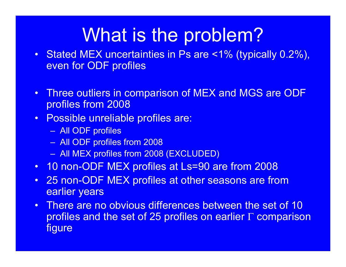## What is the problem?

- Stated MEX uncertainties in Ps are <1% (typically 0.2%), even for ODF profiles
- Three outliers in comparison of MEX and MGS are ODF profiles from 2008
- Possible unreliable profiles are:
	- All ODF profiles
	- All ODF profiles from 2008
	- All MEX profiles from 2008 (EXCLUDED)
- 10 non-ODF MEX profiles at Ls=90 are from 2008
- $\bullet$ 25 non-ODF MEX profiles at other seasons are from earlier years
- $\bullet$  There are no obvious differences between the set of 10 profiles and the set of 25 profiles on earlier Γ comparison figure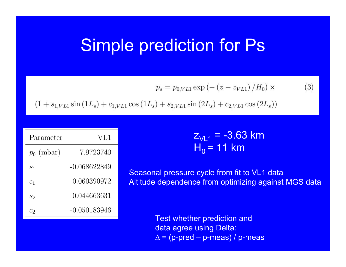#### Simple prediction for Ps

$$
p_s = p_{0,VL1} \exp(-(z - z_{VL1}) / H_0) \times \tag{3}
$$

$$
(1 + s_{1,VL1} \sin(1L_s) + c_{1,VL1} \cos(1L_s) + s_{2,VL1} \sin(2L_s) + c_{2,VL1} \cos(2L_s))
$$

| Parameter       | VL1          |
|-----------------|--------------|
| $p_0$ (mbar)    | 7.9723740    |
| $\mathcal{S}_1$ | -0.068622849 |
| $c_1$           | 0.060390972  |
| $s_2$           | 0.044663631  |
| C2              | -0.050183946 |

<sub>Z<sub>VL1</sub> = -3.63 km</sub> H<sub>0</sub> = 11 km

Seasonal pressure cycle from fit to VL1 data Altitude dependence from optimizing against MGS data

> Test whether prediction and data agree using Delta:  $\Delta = (p\text{-pred} - p\text{-meas})/p\text{-meas}$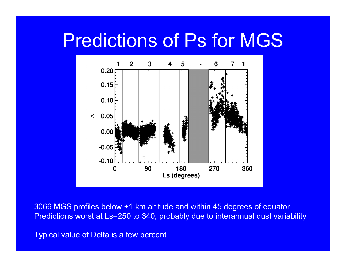## Predictions of Ps for MGS



3066 MGS profiles below +1 km altitude and within 45 degrees of equator Predictions worst at Ls=250 to 340, probably due to interannual dust variability

Typical value of Delta is a few percent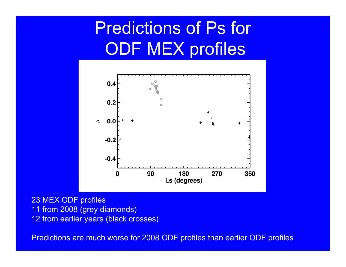## Predictions of Ps for ODF MEX profiles



23 MEX ODF profiles 11 from 2008 (grey diamonds) 12 from earlier years (black crosses)

Predictions are much worse for 2008 ODF profiles than earlier ODF profiles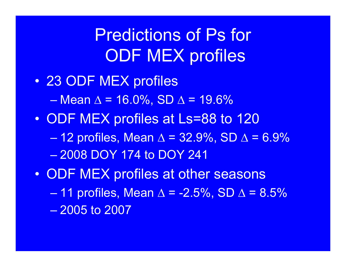Predictions of Ps for ODF MEX profiles

- $\bullet$  23 ODF MEX profiles  $-$  Mean ∆ = 16.0%, SD ∆ = 19.6%  $\bullet$  ODF MEX profiles at Ls=88 to 120 12 profiles, Mean  $\Delta$  = 32.9%, SD  $\Delta$  = 6.9% – 2008 DOY 174 to DOY 241
- $\bullet$  ODF MEX profiles at other seasons 11 profiles, Mean  $\Delta$  = -2.5%, SD  $\Delta$  = 8.5% – 2005 to 2007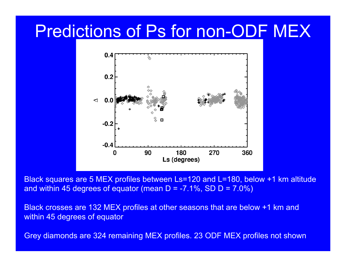#### Predictions of Ps for non-ODF MEX



Black squares are 5 MEX profiles between Ls=120 and L=180, below +1 km altitude and within 45 degrees of equator (mean  $D = -7.1\%$ , SD  $D = 7.0\%$ )

Black crosses are 132 MEX profiles at other seasons that are below +1 km and within 45 degrees of equator

Grey diamonds are 324 remaining MEX profiles. 23 ODF MEX profiles not shown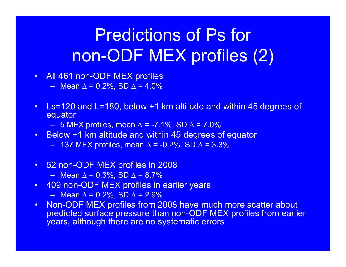## Predictions of Ps for non-ODF MEX profiles (2)

- All 461 non-ODF MEX profiles
	- Mean ∆ = 0.2%, SD ∆ = 4.0%
- Ls=120 and L=180, below +1 km altitude and within 45 degrees of equator
	- $-$  5 MEX profiles, mean ∆ = -7.1%, SD ∆ = 7.0%
- Below +1 km altitude and within 45 degrees of equator
	- $\,$  137 MEX profiles, mean ∆ = -0.2%, SD ∆ = 3.3%
- 52 non-ODF MEX profiles in 2008
	- Mean ∆ = 0.3%, SD ∆ = 8.7%
- 409 non-ODF MEX profiles in earlier years
	- Mean ∆ = 0.2%, SD ∆ = 2.9%
- $\bullet$  Non-ODF MEX profiles from 2008 have much more scatter about predicted surface pressure than non-ODF MEX profiles from earlier years, although there are no systematic errors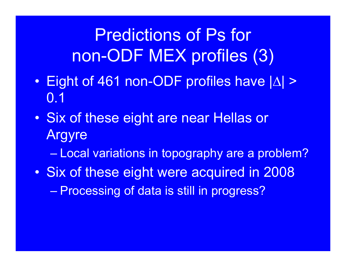Predictions of Ps for non-ODF MEX profiles (3)

- $\bullet$ Eight of 461 non-ODF profiles have  $|\Delta|$  > 0.1
- $\bullet$  Six of these eight are near Hellas or Argyre

Local variations in topography are a problem?

 $\bullet$  Six of these eight were acquired in 2008 Processing of data is still in progress?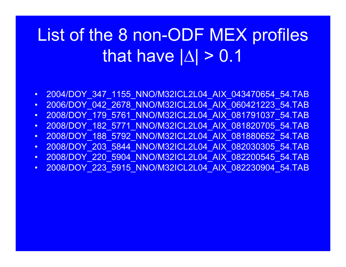# List of the 8 non-ODF MEX profiles that have | ∆| > 0.1

- •2004/DOY\_347\_1155\_NNO/M32ICL2L04\_AIX\_043470654\_54.TAB
- $\bullet$ 2006/DOY\_042\_2678\_NNO/M32ICL2L04\_AIX\_060421223\_54.TAB
- $\bullet$ 2008/DOY\_179\_5761\_NNO/M32ICL2L04\_AIX\_081791037\_54.TAB
- •2008/DOY\_182\_5771\_NNO/M32ICL2L04\_AIX\_081820705\_54.TAB
- $\bullet$ 2008/DOY\_188\_5792\_NNO/M32ICL2L04\_AIX\_081880652\_54.TAB
- $\bullet$ 2008/DOY\_203\_5844\_NNO/M32ICL2L04\_AIX\_082030305\_54.TAB
- $\bullet$ 2008/DOY\_220\_5904\_NNO/M32ICL2L04\_AIX\_082200545\_54.TAB
- $\bullet$ 2008/DOY\_223\_5915\_NNO/M32ICL2L04\_AIX\_082230904\_54.TAB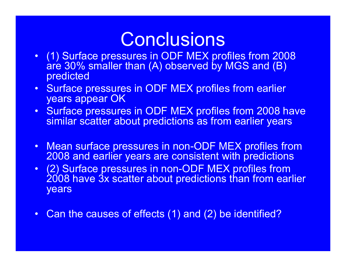## **Conclusions**

- (1) Surface pressures in ODF MEX profiles from 2008 are 30% smaller than (A) observed by MGS and (B) predicted
- Surface pressures in ODF MEX profiles from earlier years appear OK
- Surface pressures in ODF MEX profiles from 2008 have similar scatter about predictions as from earlier years
- Mean surface pressures in non-ODF MEX profiles from 2008 and earlier years are consistent with predictions
- (2) Surface pressures in non-ODF MEX profiles from 2008 have 3x scatter about predictions than from earlier years
- $\bullet$ Can the causes of effects (1) and (2) be identified?